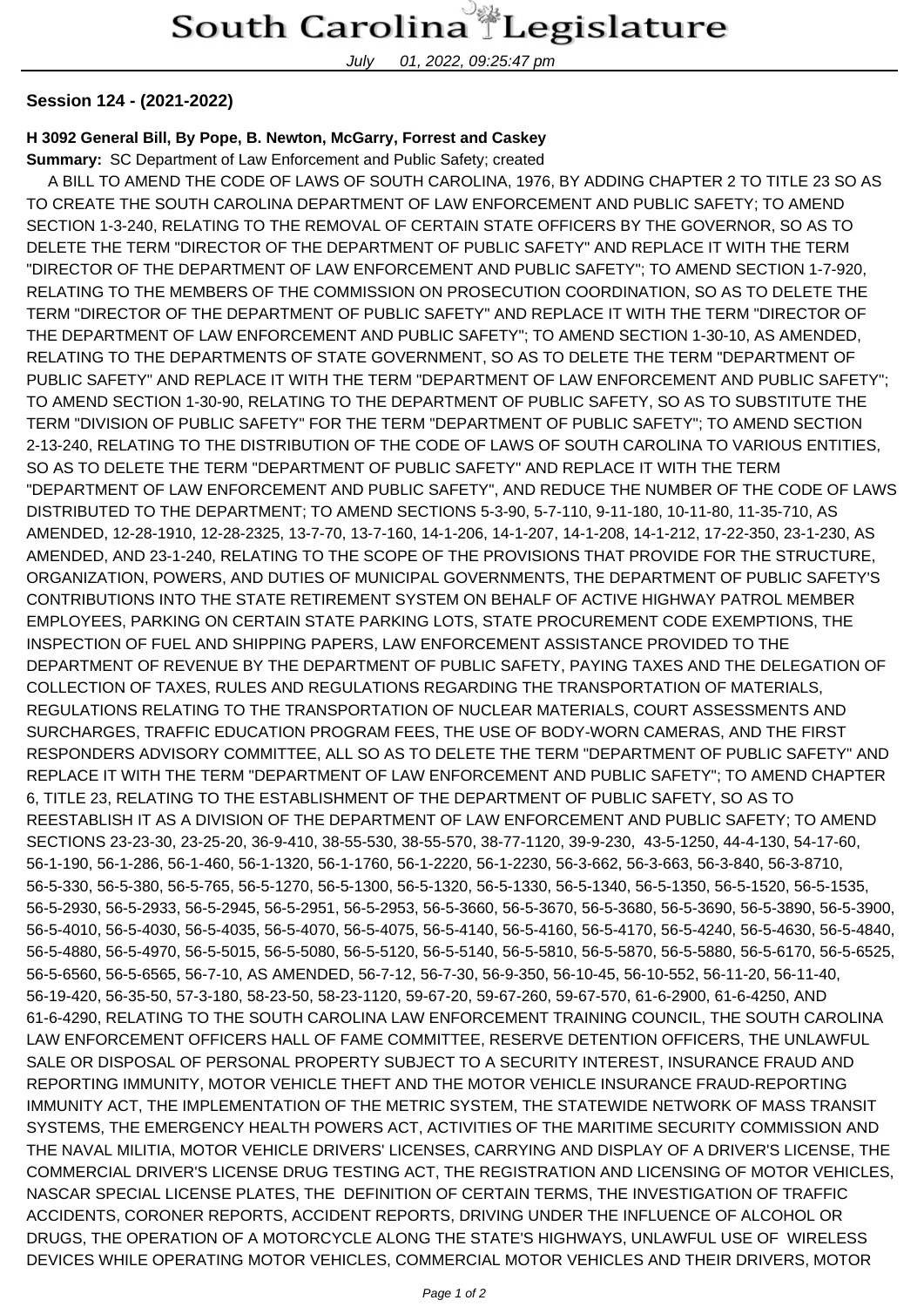July 01, 2022, 09:25:47 pm

## **Session 124 - (2021-2022)**

## **H 3092 General Bill, By Pope, B. Newton, McGarry, Forrest and Caskey**

**Summary:** SC Department of Law Enforcement and Public Safety; created

 A BILL TO AMEND THE CODE OF LAWS OF SOUTH CAROLINA, 1976, BY ADDING CHAPTER 2 TO TITLE 23 SO AS TO CREATE THE SOUTH CAROLINA DEPARTMENT OF LAW ENFORCEMENT AND PUBLIC SAFETY; TO AMEND SECTION 1-3-240, RELATING TO THE REMOVAL OF CERTAIN STATE OFFICERS BY THE GOVERNOR, SO AS TO DELETE THE TERM "DIRECTOR OF THE DEPARTMENT OF PUBLIC SAFETY" AND REPLACE IT WITH THE TERM "DIRECTOR OF THE DEPARTMENT OF LAW ENFORCEMENT AND PUBLIC SAFETY"; TO AMEND SECTION 1-7-920, RELATING TO THE MEMBERS OF THE COMMISSION ON PROSECUTION COORDINATION, SO AS TO DELETE THE TERM "DIRECTOR OF THE DEPARTMENT OF PUBLIC SAFETY" AND REPLACE IT WITH THE TERM "DIRECTOR OF THE DEPARTMENT OF LAW ENFORCEMENT AND PUBLIC SAFETY"; TO AMEND SECTION 1-30-10, AS AMENDED, RELATING TO THE DEPARTMENTS OF STATE GOVERNMENT, SO AS TO DELETE THE TERM "DEPARTMENT OF PUBLIC SAFETY" AND REPLACE IT WITH THE TERM "DEPARTMENT OF LAW ENFORCEMENT AND PUBLIC SAFETY"; TO AMEND SECTION 1-30-90, RELATING TO THE DEPARTMENT OF PUBLIC SAFETY, SO AS TO SUBSTITUTE THE TERM "DIVISION OF PUBLIC SAFETY" FOR THE TERM "DEPARTMENT OF PUBLIC SAFETY"; TO AMEND SECTION 2-13-240, RELATING TO THE DISTRIBUTION OF THE CODE OF LAWS OF SOUTH CAROLINA TO VARIOUS ENTITIES, SO AS TO DELETE THE TERM "DEPARTMENT OF PUBLIC SAFETY" AND REPLACE IT WITH THE TERM "DEPARTMENT OF LAW ENFORCEMENT AND PUBLIC SAFETY", AND REDUCE THE NUMBER OF THE CODE OF LAWS DISTRIBUTED TO THE DEPARTMENT; TO AMEND SECTIONS 5-3-90, 5-7-110, 9-11-180, 10-11-80, 11-35-710, AS AMENDED, 12-28-1910, 12-28-2325, 13-7-70, 13-7-160, 14-1-206, 14-1-207, 14-1-208, 14-1-212, 17-22-350, 23-1-230, AS AMENDED, AND 23-1-240, RELATING TO THE SCOPE OF THE PROVISIONS THAT PROVIDE FOR THE STRUCTURE, ORGANIZATION, POWERS, AND DUTIES OF MUNICIPAL GOVERNMENTS, THE DEPARTMENT OF PUBLIC SAFETY'S CONTRIBUTIONS INTO THE STATE RETIREMENT SYSTEM ON BEHALF OF ACTIVE HIGHWAY PATROL MEMBER EMPLOYEES, PARKING ON CERTAIN STATE PARKING LOTS, STATE PROCUREMENT CODE EXEMPTIONS, THE INSPECTION OF FUEL AND SHIPPING PAPERS, LAW ENFORCEMENT ASSISTANCE PROVIDED TO THE DEPARTMENT OF REVENUE BY THE DEPARTMENT OF PUBLIC SAFETY, PAYING TAXES AND THE DELEGATION OF COLLECTION OF TAXES, RULES AND REGULATIONS REGARDING THE TRANSPORTATION OF MATERIALS, REGULATIONS RELATING TO THE TRANSPORTATION OF NUCLEAR MATERIALS, COURT ASSESSMENTS AND SURCHARGES, TRAFFIC EDUCATION PROGRAM FEES, THE USE OF BODY-WORN CAMERAS, AND THE FIRST RESPONDERS ADVISORY COMMITTEE, ALL SO AS TO DELETE THE TERM "DEPARTMENT OF PUBLIC SAFETY" AND REPLACE IT WITH THE TERM "DEPARTMENT OF LAW ENFORCEMENT AND PUBLIC SAFETY"; TO AMEND CHAPTER 6, TITLE 23, RELATING TO THE ESTABLISHMENT OF THE DEPARTMENT OF PUBLIC SAFETY, SO AS TO REESTABLISH IT AS A DIVISION OF THE DEPARTMENT OF LAW ENFORCEMENT AND PUBLIC SAFETY; TO AMEND SECTIONS 23-23-30, 23-25-20, 36-9-410, 38-55-530, 38-55-570, 38-77-1120, 39-9-230, 43-5-1250, 44-4-130, 54-17-60, 56-1-190, 56-1-286, 56-1-460, 56-1-1320, 56-1-1760, 56-1-2220, 56-1-2230, 56-3-662, 56-3-663, 56-3-840, 56-3-8710, 56-5-330, 56-5-380, 56-5-765, 56-5-1270, 56-5-1300, 56-5-1320, 56-5-1330, 56-5-1340, 56-5-1350, 56-5-1520, 56-5-1535, 56-5-2930, 56-5-2933, 56-5-2945, 56-5-2951, 56-5-2953, 56-5-3660, 56-5-3670, 56-5-3680, 56-5-3690, 56-5-3890, 56-5-3900, 56-5-4010, 56-5-4030, 56-5-4035, 56-5-4070, 56-5-4075, 56-5-4140, 56-5-4160, 56-5-4170, 56-5-4240, 56-5-4630, 56-5-4840, 56-5-4880, 56-5-4970, 56-5-5015, 56-5-5080, 56-5-5120, 56-5-5140, 56-5-5810, 56-5-5870, 56-5-5880, 56-5-6170, 56-5-6525, 56-5-6560, 56-5-6565, 56-7-10, AS AMENDED, 56-7-12, 56-7-30, 56-9-350, 56-10-45, 56-10-552, 56-11-20, 56-11-40, 56-19-420, 56-35-50, 57-3-180, 58-23-50, 58-23-1120, 59-67-20, 59-67-260, 59-67-570, 61-6-2900, 61-6-4250, AND 61-6-4290, RELATING TO THE SOUTH CAROLINA LAW ENFORCEMENT TRAINING COUNCIL, THE SOUTH CAROLINA LAW ENFORCEMENT OFFICERS HALL OF FAME COMMITTEE, RESERVE DETENTION OFFICERS, THE UNLAWFUL SALE OR DISPOSAL OF PERSONAL PROPERTY SUBJECT TO A SECURITY INTEREST, INSURANCE FRAUD AND REPORTING IMMUNITY, MOTOR VEHICLE THEFT AND THE MOTOR VEHICLE INSURANCE FRAUD-REPORTING IMMUNITY ACT, THE IMPLEMENTATION OF THE METRIC SYSTEM, THE STATEWIDE NETWORK OF MASS TRANSIT SYSTEMS, THE EMERGENCY HEALTH POWERS ACT, ACTIVITIES OF THE MARITIME SECURITY COMMISSION AND THE NAVAL MILITIA, MOTOR VEHICLE DRIVERS' LICENSES, CARRYING AND DISPLAY OF A DRIVER'S LICENSE, THE COMMERCIAL DRIVER'S LICENSE DRUG TESTING ACT, THE REGISTRATION AND LICENSING OF MOTOR VEHICLES, NASCAR SPECIAL LICENSE PLATES, THE DEFINITION OF CERTAIN TERMS, THE INVESTIGATION OF TRAFFIC ACCIDENTS, CORONER REPORTS, ACCIDENT REPORTS, DRIVING UNDER THE INFLUENCE OF ALCOHOL OR DRUGS, THE OPERATION OF A MOTORCYCLE ALONG THE STATE'S HIGHWAYS, UNLAWFUL USE OF WIRELESS DEVICES WHILE OPERATING MOTOR VEHICLES, COMMERCIAL MOTOR VEHICLES AND THEIR DRIVERS, MOTOR